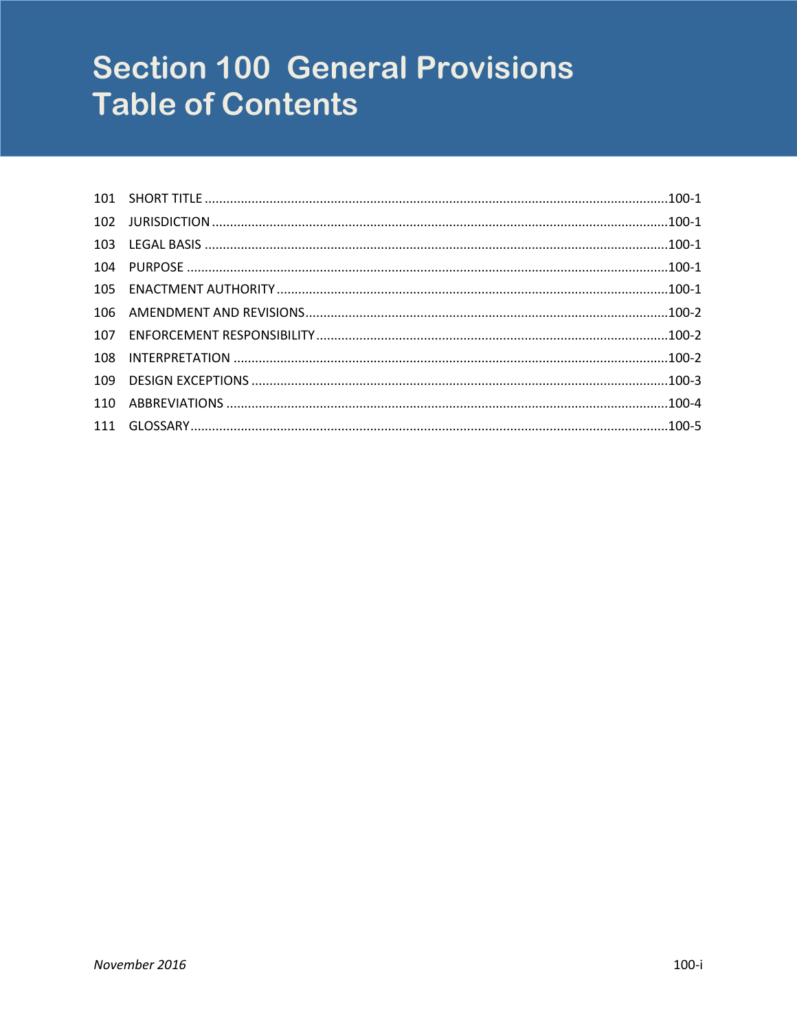# **Section 100 General Provisions Table of Contents**

| 104 |  |
|-----|--|
| 105 |  |
| 106 |  |
| 107 |  |
| 108 |  |
| 109 |  |
| 110 |  |
| 111 |  |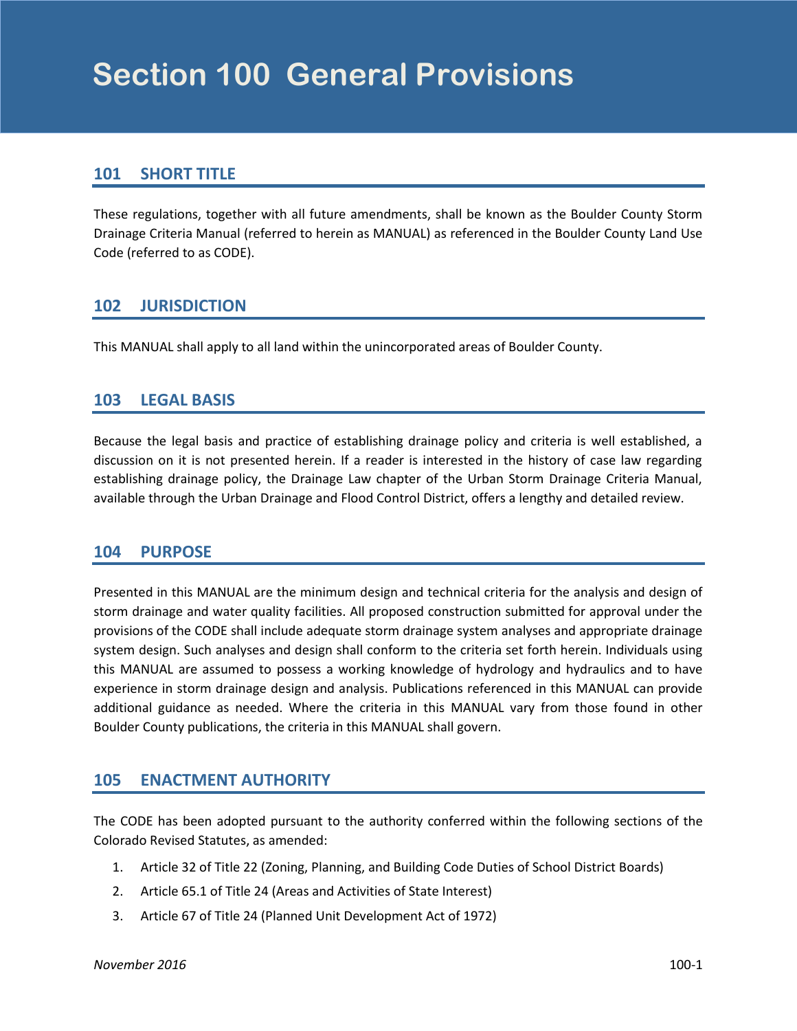## <span id="page-2-0"></span>**101 SHORT TITLE**

These regulations, together with all future amendments, shall be known as the Boulder County Storm Drainage Criteria Manual (referred to herein as MANUAL) as referenced in the Boulder County Land Use Code (referred to as CODE).

## **102 JURISDICTION**

This MANUAL shall apply to all land within the unincorporated areas of Boulder County.

#### **103 LEGAL BASIS**

Because the legal basis and practice of establishing drainage policy and criteria is well established, a discussion on it is not presented herein. If a reader is interested in the history of case law regarding establishing drainage policy, the Drainage Law chapter of the Urban Storm Drainage Criteria Manual, available through the Urban Drainage and Flood Control District, offers a lengthy and detailed review.

#### **104 PURPOSE**

Presented in this MANUAL are the minimum design and technical criteria for the analysis and design of storm drainage and water quality facilities. All proposed construction submitted for approval under the provisions of the CODE shall include adequate storm drainage system analyses and appropriate drainage system design. Such analyses and design shall conform to the criteria set forth herein. Individuals using this MANUAL are assumed to possess a working knowledge of hydrology and hydraulics and to have experience in storm drainage design and analysis. Publications referenced in this MANUAL can provide additional guidance as needed. Where the criteria in this MANUAL vary from those found in other Boulder County publications, the criteria in this MANUAL shall govern.

#### **105 ENACTMENT AUTHORITY**

The CODE has been adopted pursuant to the authority conferred within the following sections of the Colorado Revised Statutes, as amended:

- 1. Article 32 of Title 22 (Zoning, Planning, and Building Code Duties of School District Boards)
- 2. Article 65.1 of Title 24 (Areas and Activities of State Interest)
- 3. Article 67 of Title 24 (Planned Unit Development Act of 1972)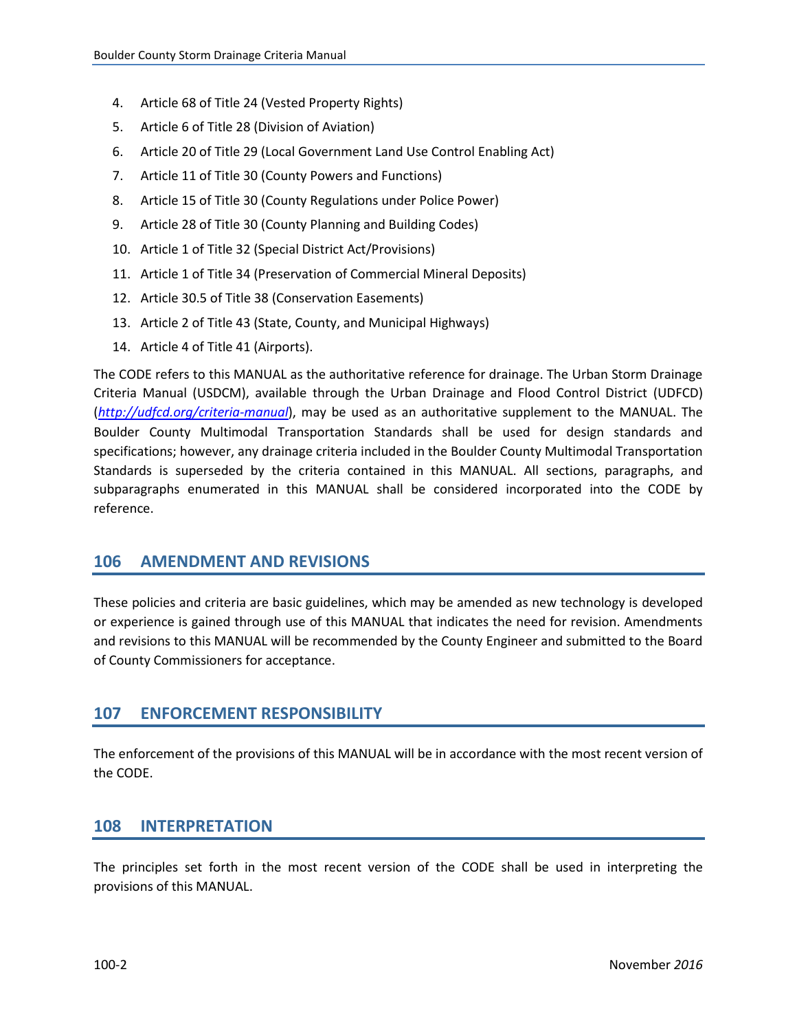- <span id="page-3-0"></span>4. Article 68 of Title 24 (Vested Property Rights)
- 5. Article 6 of Title 28 (Division of Aviation)
- 6. Article 20 of Title 29 (Local Government Land Use Control Enabling Act)
- 7. Article 11 of Title 30 (County Powers and Functions)
- 8. Article 15 of Title 30 (County Regulations under Police Power)
- 9. Article 28 of Title 30 (County Planning and Building Codes)
- 10. Article 1 of Title 32 (Special District Act/Provisions)
- 11. Article 1 of Title 34 (Preservation of Commercial Mineral Deposits)
- 12. Article 30.5 of Title 38 (Conservation Easements)
- 13. Article 2 of Title 43 (State, County, and Municipal Highways)
- 14. Article 4 of Title 41 (Airports).

The CODE refers to this MANUAL as the authoritative reference for drainage. The Urban Storm Drainage Criteria Manual (USDCM), available through the Urban Drainage and Flood Control District (UDFCD) (*<http://udfcd.org/criteria-manual>*), may be used as an authoritative supplement to the MANUAL. The Boulder County Multimodal Transportation Standards shall be used for design standards and specifications; however, any drainage criteria included in the Boulder County Multimodal Transportation Standards is superseded by the criteria contained in this MANUAL. All sections, paragraphs, and subparagraphs enumerated in this MANUAL shall be considered incorporated into the CODE by reference.

#### **106 AMENDMENT AND REVISIONS**

These policies and criteria are basic guidelines, which may be amended as new technology is developed or experience is gained through use of this MANUAL that indicates the need for revision. Amendments and revisions to this MANUAL will be recommended by the County Engineer and submitted to the Board of County Commissioners for acceptance.

## **107 ENFORCEMENT RESPONSIBILITY**

The enforcement of the provisions of this MANUAL will be in accordance with the most recent version of the CODE.

## **108 INTERPRETATION**

The principles set forth in the most recent version of the CODE shall be used in interpreting the provisions of this MANUAL.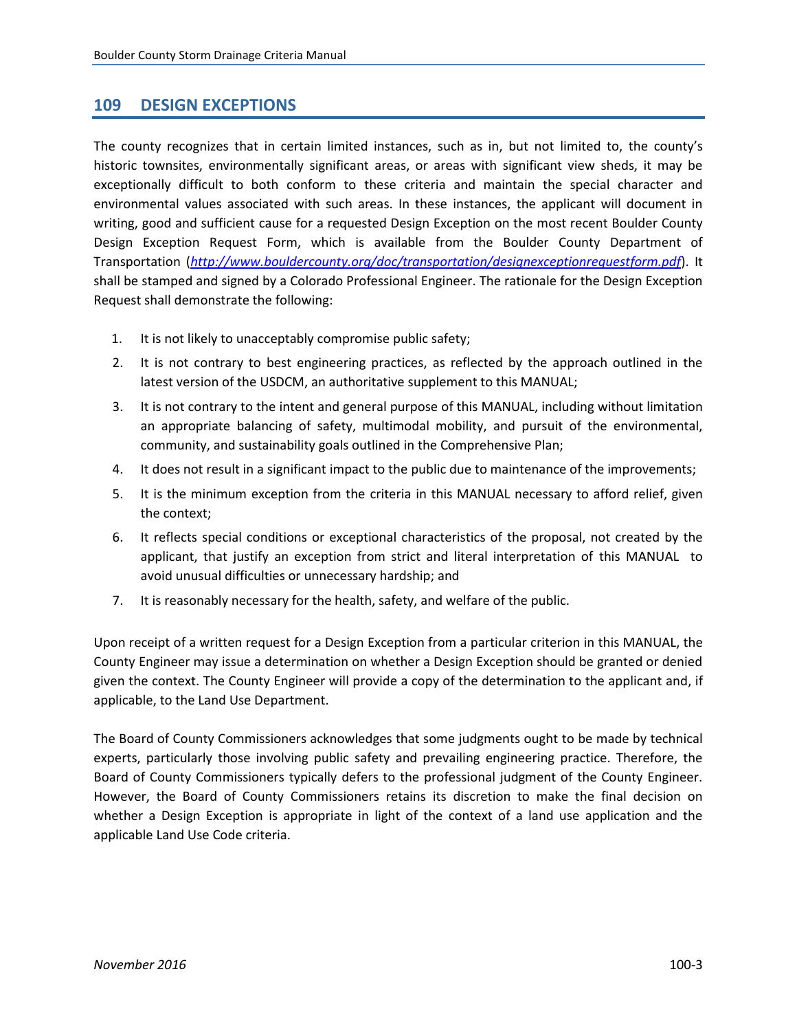#### <span id="page-4-0"></span>**109 DESIGN EXCEPTIONS**

The county recognizes that in certain limited instances, such as in, but not limited to, the county's historic townsites, environmentally significant areas, or areas with significant view sheds, it may be exceptionally difficult to both conform to these criteria and maintain the special character and environmental values associated with such areas. In these instances, the applicant will document in writing, good and sufficient cause for a requested Design Exception on the most recent Boulder County Design Exception Request Form, which is available from the Boulder County Department of Transportation (*<http://www.bouldercounty.org/doc/transportation/designexceptionrequestform.pdf>*). It shall be stamped and signed by a Colorado Professional Engineer. The rationale for the Design Exception Request shall demonstrate the following:

- 1. It is not likely to unacceptably compromise public safety;
- 2. It is not contrary to best engineering practices, as reflected by the approach outlined in the latest version of the USDCM, an authoritative supplement to this MANUAL;
- 3. It is not contrary to the intent and general purpose of this MANUAL, including without limitation an appropriate balancing of safety, multimodal mobility, and pursuit of the environmental, community, and sustainability goals outlined in the Comprehensive Plan;
- 4. It does not result in a significant impact to the public due to maintenance of the improvements;
- 5. It is the minimum exception from the criteria in this MANUAL necessary to afford relief, given the context;
- 6. It reflects special conditions or exceptional characteristics of the proposal, not created by the applicant, that justify an exception from strict and literal interpretation of this MANUAL to avoid unusual difficulties or unnecessary hardship; and
- 7. It is reasonably necessary for the health, safety, and welfare of the public.

Upon receipt of a written request for a Design Exception from a particular criterion in this MANUAL, the County Engineer may issue a determination on whether a Design Exception should be granted or denied given the context. The County Engineer will provide a copy of the determination to the applicant and, if applicable, to the Land Use Department.

The Board of County Commissioners acknowledges that some judgments ought to be made by technical experts, particularly those involving public safety and prevailing engineering practice. Therefore, the Board of County Commissioners typically defers to the professional judgment of the County Engineer. However, the Board of County Commissioners retains its discretion to make the final decision on whether a Design Exception is appropriate in light of the context of a land use application and the applicable Land Use Code criteria.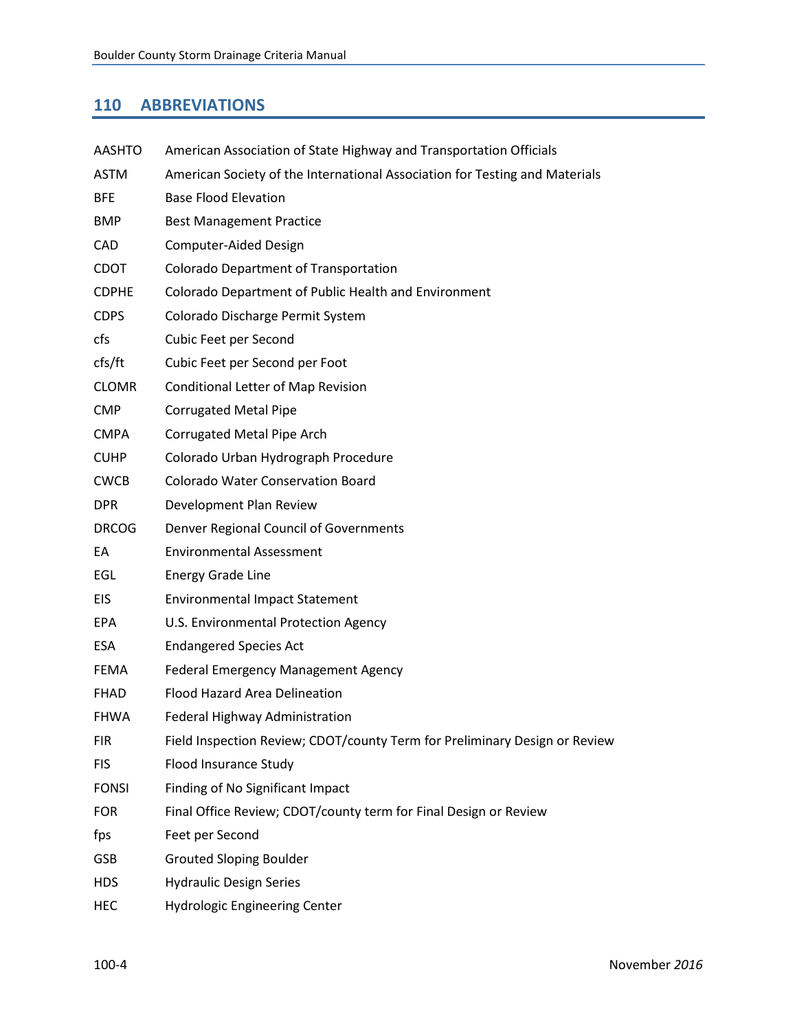## <span id="page-5-0"></span>**110 ABBREVIATIONS**

| <b>AASHTO</b> | American Association of State Highway and Transportation Officials          |
|---------------|-----------------------------------------------------------------------------|
| <b>ASTM</b>   | American Society of the International Association for Testing and Materials |
| <b>BFE</b>    | <b>Base Flood Elevation</b>                                                 |
| <b>BMP</b>    | <b>Best Management Practice</b>                                             |
| CAD           | Computer-Aided Design                                                       |
| <b>CDOT</b>   | Colorado Department of Transportation                                       |
| <b>CDPHE</b>  | Colorado Department of Public Health and Environment                        |
| <b>CDPS</b>   | Colorado Discharge Permit System                                            |
| cfs           | Cubic Feet per Second                                                       |
| cfs/ft        | Cubic Feet per Second per Foot                                              |
| <b>CLOMR</b>  | <b>Conditional Letter of Map Revision</b>                                   |
| <b>CMP</b>    | <b>Corrugated Metal Pipe</b>                                                |
| <b>CMPA</b>   | Corrugated Metal Pipe Arch                                                  |
| <b>CUHP</b>   | Colorado Urban Hydrograph Procedure                                         |
| <b>CWCB</b>   | <b>Colorado Water Conservation Board</b>                                    |
| <b>DPR</b>    | Development Plan Review                                                     |
| <b>DRCOG</b>  | Denver Regional Council of Governments                                      |
| EA            | <b>Environmental Assessment</b>                                             |
| EGL           | <b>Energy Grade Line</b>                                                    |
| <b>EIS</b>    | <b>Environmental Impact Statement</b>                                       |
| <b>EPA</b>    | U.S. Environmental Protection Agency                                        |
| <b>ESA</b>    | <b>Endangered Species Act</b>                                               |
| <b>FEMA</b>   | <b>Federal Emergency Management Agency</b>                                  |
| <b>FHAD</b>   | Flood Hazard Area Delineation                                               |
| <b>FHWA</b>   | Federal Highway Administration                                              |
| <b>FIR</b>    | Field Inspection Review; CDOT/county Term for Preliminary Design or Review  |
| <b>FIS</b>    | Flood Insurance Study                                                       |
| <b>FONSI</b>  | Finding of No Significant Impact                                            |
| <b>FOR</b>    | Final Office Review; CDOT/county term for Final Design or Review            |
| fps           | Feet per Second                                                             |
| <b>GSB</b>    | <b>Grouted Sloping Boulder</b>                                              |
| <b>HDS</b>    | <b>Hydraulic Design Series</b>                                              |
| HEC           | <b>Hydrologic Engineering Center</b>                                        |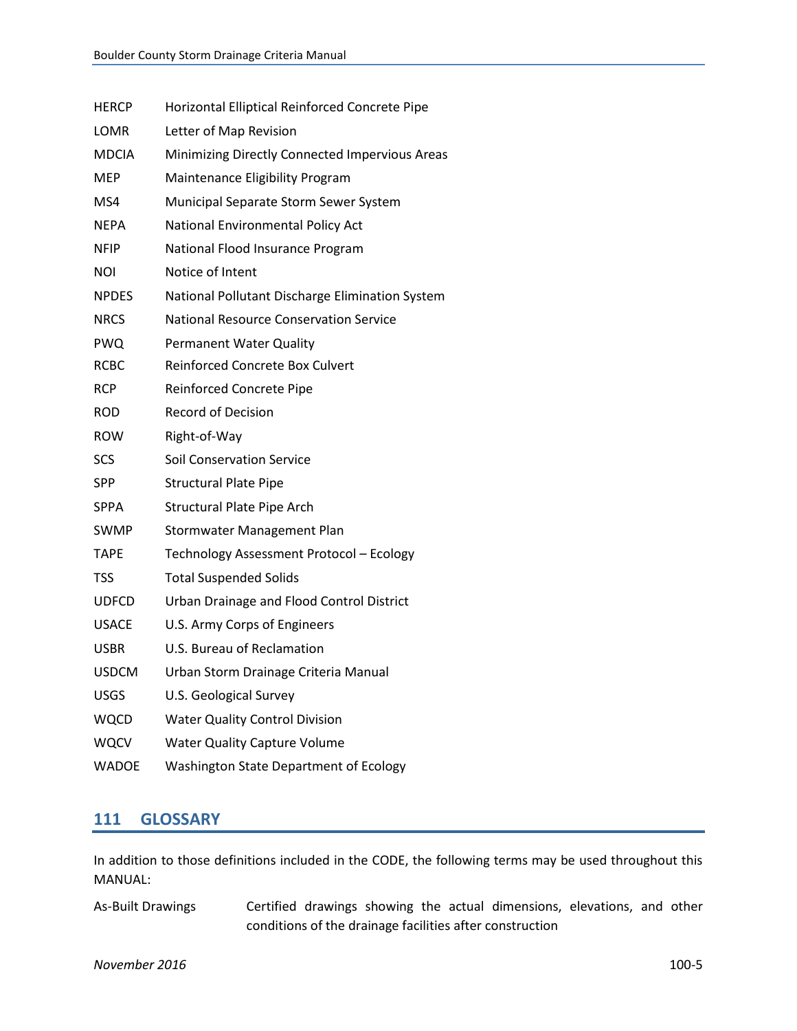<span id="page-6-0"></span>

| HERCP        | Horizontal Elliptical Reinforced Concrete Pipe  |
|--------------|-------------------------------------------------|
| LOMR         | Letter of Map Revision                          |
| MDCIA        | Minimizing Directly Connected Impervious Areas  |
| MEP          | Maintenance Eligibility Program                 |
| MS4          | Municipal Separate Storm Sewer System           |
| NEPA         | National Environmental Policy Act               |
| NFIP         | National Flood Insurance Program                |
| NOI          | Notice of Intent                                |
| <b>NPDES</b> | National Pollutant Discharge Elimination System |
| <b>NRCS</b>  | National Resource Conservation Service          |
| <b>PWQ</b>   | Permanent Water Quality                         |
| <b>RCBC</b>  | <b>Reinforced Concrete Box Culvert</b>          |
| <b>RCP</b>   | Reinforced Concrete Pipe                        |
| ROD          | <b>Record of Decision</b>                       |
| <b>ROW</b>   | Right-of-Way                                    |
| <b>SCS</b>   | <b>Soil Conservation Service</b>                |
| <b>SPP</b>   | <b>Structural Plate Pipe</b>                    |
| <b>SPPA</b>  | <b>Structural Plate Pipe Arch</b>               |
| SWMP         | Stormwater Management Plan                      |
| <b>TAPE</b>  | Technology Assessment Protocol - Ecology        |
| <b>TSS</b>   | <b>Total Suspended Solids</b>                   |
| <b>UDFCD</b> | Urban Drainage and Flood Control District       |
| <b>USACE</b> | U.S. Army Corps of Engineers                    |
| USBR         | U.S. Bureau of Reclamation                      |
| <b>USDCM</b> | Urban Storm Drainage Criteria Manual            |
| <b>USGS</b>  | U.S. Geological Survey                          |
| <b>WQCD</b>  | <b>Water Quality Control Division</b>           |
| <b>WQCV</b>  | <b>Water Quality Capture Volume</b>             |
| <b>WADOE</b> | Washington State Department of Ecology          |

## **111 GLOSSARY**

In addition to those definitions included in the CODE, the following terms may be used throughout this MANUAL:

As-Built Drawings Certified drawings showing the actual dimensions, elevations, and other conditions of the drainage facilities after construction